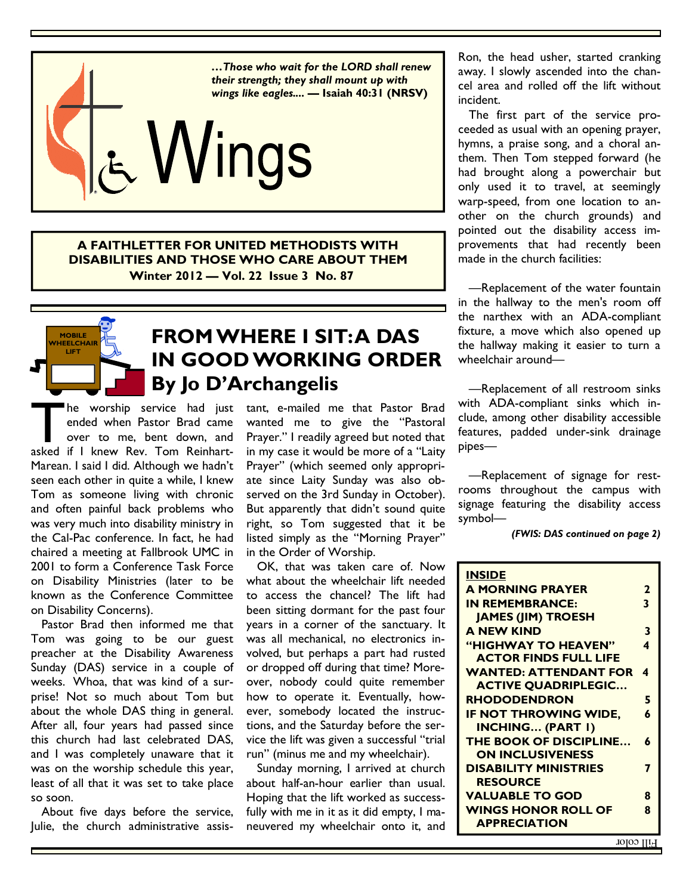

**A FAITHLETTER FOR UNITED METHODISTS WITH DISABILITIES AND THOSE WHO CARE ABOUT THEM Winter 2012 — Vol. 22 Issue 3 No. 87** 



### **FROM WHERE I SIT: A DAS IN GOOD WORKING ORDER By Jo D'Archangelis**

The worship service had just<br>
ended when Pastor Brad came<br>
over to me, bent down, and<br>
asked if I knew Rev. Tom Reinhartended when Pastor Brad came over to me, bent down, and Marean. I said I did. Although we hadn't seen each other in quite a while, I knew Tom as someone living with chronic and often painful back problems who was very much into disability ministry in the Cal-Pac conference. In fact, he had chaired a meeting at Fallbrook UMC in 2001 to form a Conference Task Force on Disability Ministries (later to be known as the Conference Committee on Disability Concerns).

 Pastor Brad then informed me that Tom was going to be our guest preacher at the Disability Awareness Sunday (DAS) service in a couple of weeks. Whoa, that was kind of a surprise! Not so much about Tom but about the whole DAS thing in general. After all, four years had passed since this church had last celebrated DAS, and I was completely unaware that it was on the worship schedule this year, least of all that it was set to take place so soon.

 About five days before the service, Julie, the church administrative assistant, e-mailed me that Pastor Brad wanted me to give the "Pastoral Prayer." I readily agreed but noted that in my case it would be more of a "Laity Prayer" (which seemed only appropriate since Laity Sunday was also observed on the 3rd Sunday in October). But apparently that didn't sound quite right, so Tom suggested that it be listed simply as the "Morning Prayer" in the Order of Worship.

 OK, that was taken care of. Now what about the wheelchair lift needed to access the chancel? The lift had been sitting dormant for the past four years in a corner of the sanctuary. It was all mechanical, no electronics involved, but perhaps a part had rusted or dropped off during that time? Moreover, nobody could quite remember how to operate it. Eventually, however, somebody located the instructions, and the Saturday before the service the lift was given a successful "trial run" (minus me and my wheelchair).

 Sunday morning, I arrived at church about half-an-hour earlier than usual. Hoping that the lift worked as successfully with me in it as it did empty, I maneuvered my wheelchair onto it, and

Ron, the head usher, started cranking away. I slowly ascended into the chancel area and rolled off the lift without incident.

 The first part of the service proceeded as usual with an opening prayer, hymns, a praise song, and a choral anthem. Then Tom stepped forward (he had brought along a powerchair but only used it to travel, at seemingly warp-speed, from one location to another on the church grounds) and pointed out the disability access improvements that had recently been made in the church facilities:

 —Replacement of the water fountain in the hallway to the men's room off the narthex with an ADA-compliant fixture, a move which also opened up the hallway making it easier to turn a wheelchair around—

 —Replacement of all restroom sinks with ADA-compliant sinks which include, among other disability accessible features, padded under-sink drainage pipes—

 —Replacement of signage for restrooms throughout the campus with signage featuring the disability access symbol—

*(FWIS: DAS continued on page 2)* 

| <b>INSIDE</b>                 |   |
|-------------------------------|---|
| <b>A MORNING PRAYER</b>       | 2 |
| <b>IN REMEMBRANCE:</b>        | 3 |
| <b>JAMES (JIM) TROESH</b>     |   |
| <b>A NEW KIND</b>             | 3 |
| "HIGHWAY TO HEAVEN"           | 4 |
| <b>ACTOR FINDS FULL LIFE</b>  |   |
| <b>WANTED: ATTENDANT FOR</b>  | 4 |
| <b>ACTIVE QUADRIPLEGIC</b>    |   |
| <b>RHODODENDRON</b>           | 5 |
| <b>IF NOT THROWING WIDE,</b>  | 6 |
| <b>INCHING (PART I)</b>       |   |
| <b>THE BOOK OF DISCIPLINE</b> | 6 |
| <b>ON INCLUSIVENESS</b>       |   |
| <b>DISABILITY MINISTRIES</b>  | 7 |
| <b>RESOURCE</b>               |   |
| <b>VALUABLE TO GOD</b>        | Զ |
| <b>WINGS HONOR ROLL OF</b>    | ጸ |
| <b>APPRECIATION</b>           |   |
|                               |   |

Fill color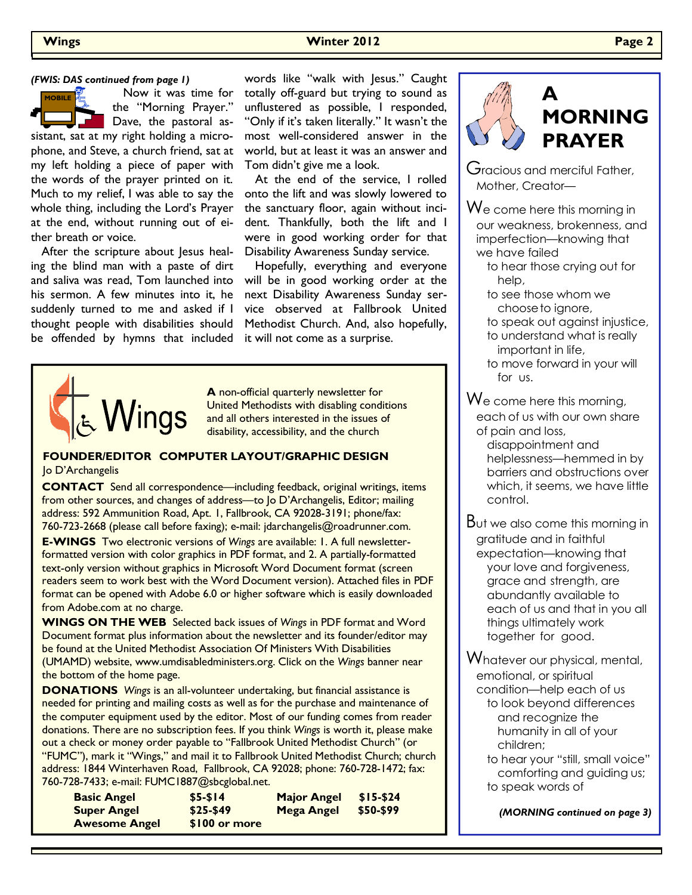### **Wings Winter 2012 Page 2**

 Now it was time for the "Morning Prayer." Dave, the pastoral assistant, sat at my right holding a microphone, and Steve, a church friend, sat at my left holding a piece of paper with the words of the prayer printed on it. Much to my relief, I was able to say the whole thing, including the Lord's Prayer at the end, without running out of either breath or voice. **MOBILE** 

After the scripture about lesus healing the blind man with a paste of dirt and saliva was read, Tom launched into his sermon. A few minutes into it, he suddenly turned to me and asked if I thought people with disabilities should be offended by hymns that included it will not come as a surprise.

words like "walk with Jesus." Caught totally off-guard but trying to sound as unflustered as possible, I responded, "Only if it's taken literally." It wasn't the most well-considered answer in the world, but at least it was an answer and Tom didn't give me a look.

 At the end of the service, I rolled onto the lift and was slowly lowered to the sanctuary floor, again without incident. Thankfully, both the lift and I were in good working order for that Disability Awareness Sunday service.

 Hopefully, everything and everyone will be in good working order at the next Disability Awareness Sunday service observed at Fallbrook United Methodist Church. And, also hopefully,



**A** non-official quarterly newsletter for United Methodists with disabling conditions and all others interested in the issues of disability, accessibility, and the church

#### **FOUNDER/EDITOR COMPUTER LAYOUT/GRAPHIC DESIGN**  Jo D'Archangelis

**CONTACT** Send all correspondence—including feedback, original writings, items from other sources, and changes of address—to Jo D'Archangelis, Editor; mailing address: 592 Ammunition Road, Apt. 1, Fallbrook, CA 92028-3191; phone/fax: 760-723-2668 (please call before faxing); e-mail: jdarchangelis@roadrunner.com.

**E-WINGS** Two electronic versions of *Wings* are available: 1. A full newsletterformatted version with color graphics in PDF format, and 2. A partially-formatted text-only version without graphics in Microsoft Word Document format (screen readers seem to work best with the Word Document version). Attached files in PDF format can be opened with Adobe 6.0 or higher software which is easily downloaded from Adobe.com at no charge.

**WINGS ON THE WEB** Selected back issues of *Wings* in PDF format and Word Document format plus information about the newsletter and its founder/editor may be found at the United Methodist Association Of Ministers With Disabilities (UMAMD) website, www.umdisabledministers.org. Click on the *Wings* banner near the bottom of the home page.

**DONATIONS** *Wings* is an all-volunteer undertaking, but financial assistance is needed for printing and mailing costs as well as for the purchase and maintenance of the computer equipment used by the editor. Most of our funding comes from reader donations. There are no subscription fees. If you think *Wings* is worth it, please make out a check or money order payable to "Fallbrook United Methodist Church" (or "FUMC"), mark it "Wings," and mail it to Fallbrook United Methodist Church; church address: 1844 Winterhaven Road, Fallbrook, CA 92028; phone: 760-728-1472; fax: 760-728-7433; e-mail: FUMC1887@sbcglobal.net.

| <b>Basic Angel</b>   | $$5-514$       | <b>Major Angel</b> | $$15-524$ |
|----------------------|----------------|--------------------|-----------|
| <b>Super Angel</b>   | $$25-549$      | Mega Angel         | \$50-\$99 |
| <b>Awesome Angel</b> | $$100$ or more |                    |           |



### **A MORNING PRAYER**

Gracious and merciful Father, Mother, Creator—

We come here this morning in our weakness, brokenness, and imperfection—knowing that we have failed

 to hear those crying out for help,

 to see those whom we choose to ignore, to speak out against injustice, to understand what is really important in life, to move forward in your will

for us.

We come here this morning, each of us with our own share of pain and loss,

> disappointment and helplessness—hemmed in by barriers and obstructions over which, it seems, we have little control.

But we also come this morning in gratitude and in faithful expectation—knowing that your love and forgiveness, grace and strength, are abundantly available to each of us and that in you all things ultimately work together for good.

Whatever our physical, mental, emotional, or spiritual condition—help each of us to look beyond differences and recognize the humanity in all of your children;

 to hear your "still, small voice" comforting and guiding us; to speak words of

*(MORNING continued on page 3)*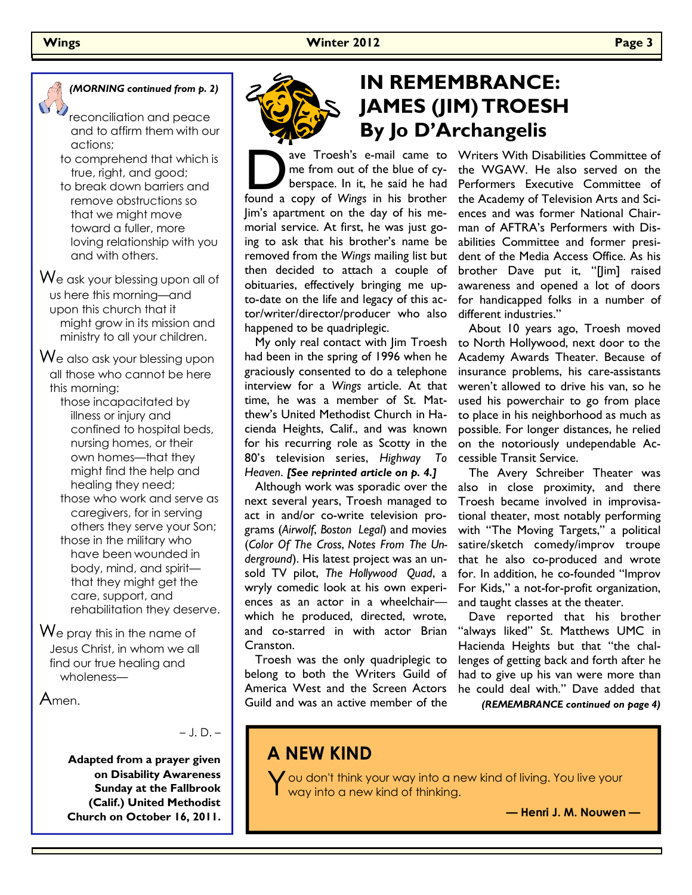

- reconciliation and peace and to affirm them with our actions;
- to comprehend that which is true, right, and good;
- to break down barriers and remove obstructions so that we might move toward a fuller, more loving relationship with you and with others.

We ask your blessing upon all of us here this morning—and upon this church that it might grow in its mission and ministry to all your children.

We also ask your blessing upon all those who cannot be here this morning:

 those incapacitated by illness or injury and confined to hospital beds, nursing homes, or their own homes—that they might find the help and healing they need; those who work and serve as caregivers, for in serving

 others they serve your Son; those in the military who have been wounded in body, mind, and spirit that they might get the care, support, and rehabilitation they deserve.

We pray this in the name of Jesus Christ, in whom we all find our true healing and wholeness—

Amen.

– J. D. –

**Adapted from a prayer given on Disability Awareness Sunday at the Fallbrook (Calif.) United Methodist Church on October 16, 2011.** 



## *(MORNING continued from p. 2)* **IN REMEMBRANCE: JAMES (JIM) TROESH By Jo D'Archangelis**

ave Troesh's e-mail came to<br>
me from out of the blue of cy-<br>
berspace. In it, he said he had<br>
found a copy of *Wings* in his brother me from out of the blue of cyberspace. In it, he said he had Jim's apartment on the day of his memorial service. At first, he was just going to ask that his brother's name be removed from the *Wings* mailing list but then decided to attach a couple of obituaries, effectively bringing me upto-date on the life and legacy of this actor/writer/director/producer who also happened to be quadriplegic.

 My only real contact with Jim Troesh had been in the spring of 1996 when he graciously consented to do a telephone interview for a *Wings* article. At that time, he was a member of St. Matthew's United Methodist Church in Hacienda Heights, Calif., and was known for his recurring role as Scotty in the 80's television series, *Highway To Heaven*. *[See reprinted article on p. 4.]*

 Although work was sporadic over the next several years, Troesh managed to act in and/or co-write television programs (*Airwolf*, *Boston Legal*) and movies (*Color Of The Cross*, *Notes From The Underground*). His latest project was an unsold TV pilot, *The Hollywood Quad*, a wryly comedic look at his own experiences as an actor in a wheelchair which he produced, directed, wrote, and co-starred in with actor Brian Cranston.

 Troesh was the only quadriplegic to belong to both the Writers Guild of America West and the Screen Actors Guild and was an active member of the

Writers With Disabilities Committee of the WGAW. He also served on the Performers Executive Committee of the Academy of Television Arts and Sciences and was former National Chairman of AFTRA's Performers with Disabilities Committee and former president of the Media Access Office. As his brother Dave put it, "[Jim] raised awareness and opened a lot of doors for handicapped folks in a number of different industries."

 About 10 years ago, Troesh moved to North Hollywood, next door to the Academy Awards Theater. Because of insurance problems, his care-assistants weren't allowed to drive his van, so he used his powerchair to go from place to place in his neighborhood as much as possible. For longer distances, he relied on the notoriously undependable Accessible Transit Service.

 The Avery Schreiber Theater was also in close proximity, and there Troesh became involved in improvisational theater, most notably performing with "The Moving Targets," a political satire/sketch comedy/improv troupe that he also co-produced and wrote for. In addition, he co-founded "Improv For Kids," a not-for-profit organization, and taught classes at the theater.

 Dave reported that his brother "always liked" St. Matthews UMC in Hacienda Heights but that "the challenges of getting back and forth after he had to give up his van were more than he could deal with." Dave added that *(REMEMBRANCE continued on page 4)* 

### **A NEW KIND**

Y ou don't think your way into a new kind of living. You live your way into a new kind of thinking.

**— Henri J. M. Nouwen —**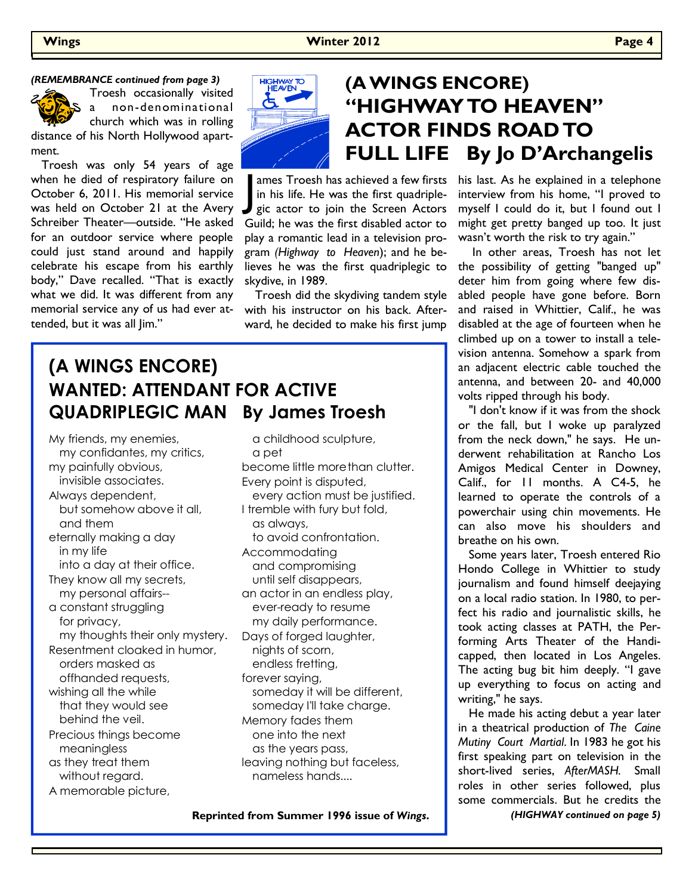#### *(REMEMBRANCE continued from page 3)*



Troesh occasionally visited a non-denominational church which was in rolling distance of his North Hollywood apart-

ment. Troesh was only 54 years of age when he died of respiratory failure on October 6, 2011. His memorial service was held on October 21 at the Avery Schreiber Theater—outside. "He asked for an outdoor service where people could just stand around and happily celebrate his escape from his earthly body," Dave recalled. "That is exactly what we did. It was different from any memorial service any of us had ever attended, but it was all Jim."



# **(A WINGS ENCORE) "HIGHWAY TO HEAVEN" ACTOR FINDS ROAD TO FULL LIFE By Jo D'Archangelis**

ames Troesh has achieved a few firsts in his life. He was the first quadriplegic actor to join the Screen Actors Guild; he was the first disabled actor to play a romantic lead in a television program *(Highway to Heaven*); and he believes he was the first quadriplegic to skydive, in 1989.

 Troesh did the skydiving tandem style with his instructor on his back. Afterward, he decided to make his first jump

### **(A WINGS ENCORE) WANTED: ATTENDANT FOR ACTIVE QUADRIPLEGIC MAN By James Troesh**

My friends, my enemies, my confidantes, my critics, my painfully obvious, invisible associates. Always dependent, but somehow above it all, and them eternally making a day in my life into a day at their office. They know all my secrets, my personal affairs- a constant struggling for privacy, my thoughts their only mystery. Resentment cloaked in humor, orders masked as offhanded requests, wishing all the while that they would see behind the veil. Precious things become meaningless as they treat them without regard. A memorable picture,

 a childhood sculpture, a pet become little more than clutter. Every point is disputed, every action must be justified. I tremble with fury but fold, as always, to avoid confrontation. Accommodating and compromising until self disappears, an actor in an endless play, ever-ready to resume my daily performance. Days of forged laughter, nights of scorn, endless fretting, forever saying, someday it will be different, someday I'll take charge. Memory fades them one into the next as the years pass, leaving nothing but faceless, nameless hands....

**Reprinted from Summer 1996 issue of** *Wings***.** 

his last. As he explained in a telephone interview from his home, "I proved to myself I could do it, but I found out I might get pretty banged up too. It just wasn't worth the risk to try again."

 In other areas, Troesh has not let the possibility of getting "banged up" deter him from going where few disabled people have gone before. Born and raised in Whittier, Calif., he was disabled at the age of fourteen when he climbed up on a tower to install a television antenna. Somehow a spark from an adjacent electric cable touched the antenna, and between 20- and 40,000 volts ripped through his body.

 "I don't know if it was from the shock or the fall, but I woke up paralyzed from the neck down," he says. He underwent rehabilitation at Rancho Los Amigos Medical Center in Downey, Calif., for 11 months. A C4-5, he learned to operate the controls of a powerchair using chin movements. He can also move his shoulders and breathe on his own.

 Some years later, Troesh entered Rio Hondo College in Whittier to study journalism and found himself deejaying on a local radio station. In 1980, to perfect his radio and journalistic skills, he took acting classes at PATH, the Performing Arts Theater of the Handicapped, then located in Los Angeles. The acting bug bit him deeply. "I gave up everything to focus on acting and writing," he says.

 He made his acting debut a year later in a theatrical production of *The Caine Mutiny Court Martial*. In 1983 he got his first speaking part on television in the short-lived series, *AfterMASH.* Small roles in other series followed, plus some commercials. But he credits the

*(HIGHWAY continued on page 5)*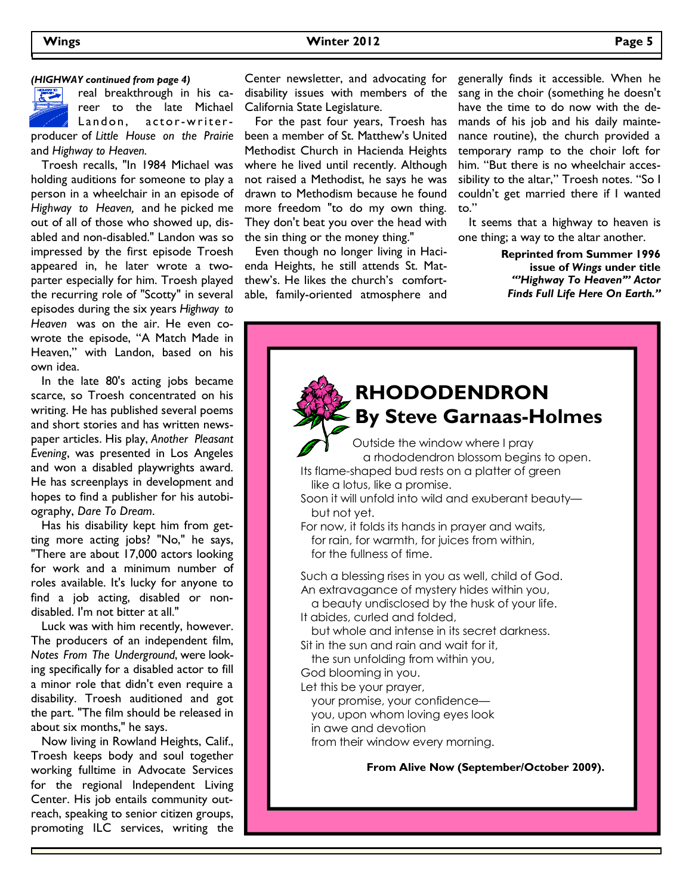real breakthrough in his career to the late Michael California State Legislature. Landon, actor-writerand *Highway to Heaven.* 

 Troesh recalls, "In 1984 Michael was holding auditions for someone to play a person in a wheelchair in an episode of *Highway to Heaven,* and he picked me out of all of those who showed up, disabled and non-disabled." Landon was so impressed by the first episode Troesh appeared in, he later wrote a twoparter especially for him. Troesh played the recurring role of "Scotty" in several episodes during the six years *Highway to Heaven* was on the air. He even cowrote the episode, "A Match Made in Heaven," with Landon, based on his own idea.

 In the late 80's acting jobs became scarce, so Troesh concentrated on his writing. He has published several poems and short stories and has written newspaper articles. His play, *Another Pleasant Evening*, was presented in Los Angeles and won a disabled playwrights award. He has screenplays in development and hopes to find a publisher for his autobiography, *Dare To Dream*.

 Has his disability kept him from getting more acting jobs? "No," he says, "There are about 17,000 actors looking for work and a minimum number of roles available. It's lucky for anyone to find a job acting, disabled or nondisabled. I'm not bitter at all."

 Luck was with him recently, however. The producers of an independent film, *Notes From The Underground*, were looking specifically for a disabled actor to fill a minor role that didn't even require a disability. Troesh auditioned and got the part. "The film should be released in about six months," he says.

 Now living in Rowland Heights, Calif., Troesh keeps body and soul together working fulltime in Advocate Services for the regional Independent Living Center. His job entails community outreach, speaking to senior citizen groups, promoting ILC services, writing the

*(HIGHWAY continued from page 4)* Center newsletter, and advocating for disability issues with members of the

producer of *Little House on the Prairie*  been a member of St. Matthew's United For the past four years, Troesh has Methodist Church in Hacienda Heights where he lived until recently. Although not raised a Methodist, he says he was drawn to Methodism because he found more freedom "to do my own thing. They don't beat you over the head with the sin thing or the money thing."

> Even though no longer living in Hacienda Heights, he still attends St. Matthew's. He likes the church's comfortable, family-oriented atmosphere and

generally finds it accessible. When he sang in the choir (something he doesn't have the time to do now with the demands of his job and his daily maintenance routine), the church provided a temporary ramp to the choir loft for him. "But there is no wheelchair accessibility to the altar," Troesh notes. "So I couldn't get married there if I wanted to."

 It seems that a highway to heaven is one thing; a way to the altar another.

> **Reprinted from Summer 1996 issue of** *Wings* **under title**  *"'Highway To Heaven'" Actor Finds Full Life Here On Earth."*

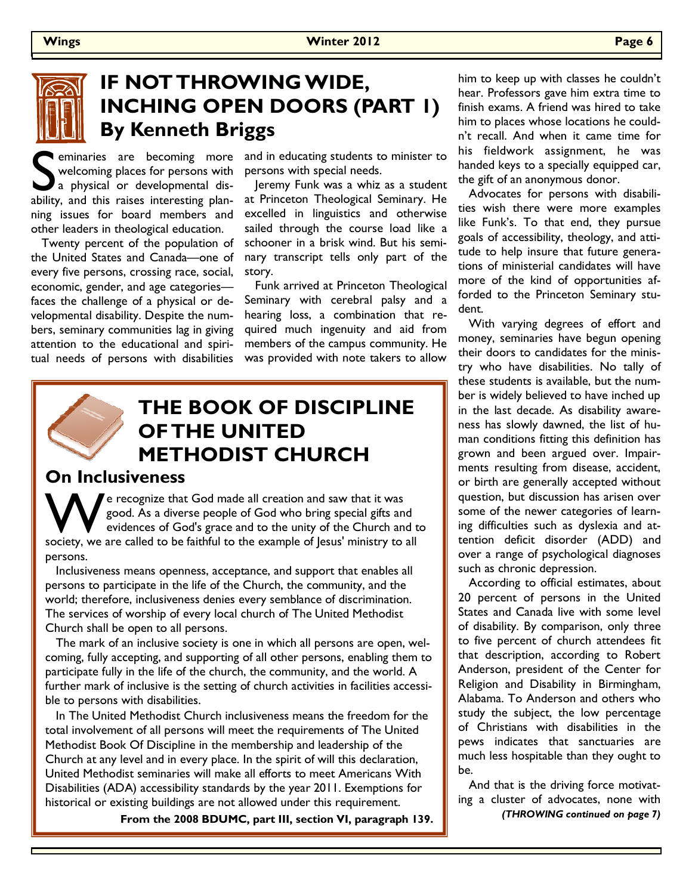

### **IF NOT THROWING WIDE, INCHING OPEN DOORS (PART 1) By Kenneth Briggs**

Solution and in educating students to minister to welcoming places for persons with persons with special needs.<br>
a physical or developmental dis-<br>
a physical or developmental dis-<br>
a physical or developmental dis-<br>
at Prin welcoming places for persons with a physical or developmental disability, and this raises interesting planning issues for board members and other leaders in theological education.

 Twenty percent of the population of the United States and Canada—one of every five persons, crossing race, social, economic, gender, and age categories faces the challenge of a physical or developmental disability. Despite the numbers, seminary communities lag in giving attention to the educational and spiritual needs of persons with disabilities

persons with special needs.

 Jeremy Funk was a whiz as a student at Princeton Theological Seminary. He excelled in linguistics and otherwise sailed through the course load like a schooner in a brisk wind. But his seminary transcript tells only part of the story.

 Funk arrived at Princeton Theological Seminary with cerebral palsy and a hearing loss, a combination that required much ingenuity and aid from members of the campus community. He was provided with note takers to allow

### **THE BOOK OF DISCIPLINE OF THE UNITED METHODIST CHURCH**

### **On Inclusiveness**

We recognize that God made all creation and saw that it was good. As a diverse people of God who bring special gifts and evidences of God's grace and to the unity of the Church and t society, we are called to be faithful t good. As a diverse people of God who bring special gifts and evidences of God's grace and to the unity of the Church and to persons.

 Inclusiveness means openness, acceptance, and support that enables all persons to participate in the life of the Church, the community, and the world; therefore, inclusiveness denies every semblance of discrimination. The services of worship of every local church of The United Methodist Church shall be open to all persons.

 The mark of an inclusive society is one in which all persons are open, welcoming, fully accepting, and supporting of all other persons, enabling them to participate fully in the life of the church, the community, and the world. A further mark of inclusive is the setting of church activities in facilities accessible to persons with disabilities.

 In The United Methodist Church inclusiveness means the freedom for the total involvement of all persons will meet the requirements of The United Methodist Book Of Discipline in the membership and leadership of the Church at any level and in every place. In the spirit of will this declaration, United Methodist seminaries will make all efforts to meet Americans With Disabilities (ADA) accessibility standards by the year 2011. Exemptions for historical or existing buildings are not allowed under this requirement.

**From the 2008 BDUMC, part III, section VI, paragraph 139.** 

him to keep up with classes he couldn't hear. Professors gave him extra time to finish exams. A friend was hired to take him to places whose locations he couldn't recall. And when it came time for his fieldwork assignment, he was handed keys to a specially equipped car, the gift of an anonymous donor.

 Advocates for persons with disabilities wish there were more examples like Funk's. To that end, they pursue goals of accessibility, theology, and attitude to help insure that future generations of ministerial candidates will have more of the kind of opportunities afforded to the Princeton Seminary student.

 With varying degrees of effort and money, seminaries have begun opening their doors to candidates for the ministry who have disabilities. No tally of these students is available, but the number is widely believed to have inched up in the last decade. As disability awareness has slowly dawned, the list of human conditions fitting this definition has grown and been argued over. Impairments resulting from disease, accident, or birth are generally accepted without question, but discussion has arisen over some of the newer categories of learning difficulties such as dyslexia and attention deficit disorder (ADD) and over a range of psychological diagnoses such as chronic depression.

 According to official estimates, about 20 percent of persons in the United States and Canada live with some level of disability. By comparison, only three to five percent of church attendees fit that description, according to Robert Anderson, president of the Center for Religion and Disability in Birmingham, Alabama. To Anderson and others who study the subject, the low percentage of Christians with disabilities in the pews indicates that sanctuaries are much less hospitable than they ought to be.

 And that is the driving force motivating a cluster of advocates, none with *(THROWING continued on page 7)*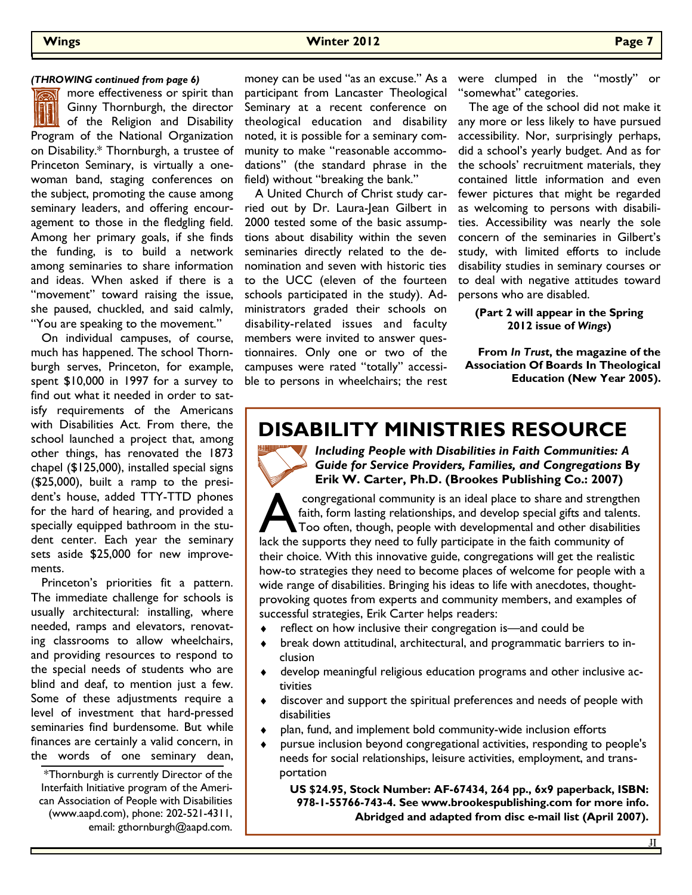more effectiveness or spirit than Ginny Thornburgh, the director **Will** of the Religion and Disability Program of the National Organization on Disability.\* Thornburgh, a trustee of Princeton Seminary, is virtually a onewoman band, staging conferences on the subject, promoting the cause among seminary leaders, and offering encouragement to those in the fledgling field. Among her primary goals, if she finds the funding, is to build a network among seminaries to share information and ideas. When asked if there is a "movement" toward raising the issue, she paused, chuckled, and said calmly, "You are speaking to the movement."

 On individual campuses, of course, much has happened. The school Thornburgh serves, Princeton, for example, spent \$10,000 in 1997 for a survey to find out what it needed in order to satisfy requirements of the Americans with Disabilities Act. From there, the school launched a project that, among other things, has renovated the 1873 chapel (\$125,000), installed special signs (\$25,000), built a ramp to the president's house, added TTY-TTD phones for the hard of hearing, and provided a specially equipped bathroom in the student center. Each year the seminary sets aside \$25,000 for new improvements.

 Princeton's priorities fit a pattern. The immediate challenge for schools is usually architectural: installing, where needed, ramps and elevators, renovating classrooms to allow wheelchairs, and providing resources to respond to the special needs of students who are blind and deaf, to mention just a few. Some of these adjustments require a level of investment that hard-pressed seminaries find burdensome. But while finances are certainly a valid concern, in the words of one seminary dean,

\*Thornburgh is currently Director of the Interfaith Initiative program of the American Association of People with Disabilities (www.aapd.com), phone: 202-521-4311, email: gthornburgh@aapd.com.

participant from Lancaster Theological Seminary at a recent conference on theological education and disability noted, it is possible for a seminary community to make "reasonable accommodations" (the standard phrase in the field) without "breaking the bank."

 A United Church of Christ study carried out by Dr. Laura-Jean Gilbert in 2000 tested some of the basic assumptions about disability within the seven seminaries directly related to the denomination and seven with historic ties to the UCC (eleven of the fourteen schools participated in the study). Administrators graded their schools on disability-related issues and faculty members were invited to answer questionnaires. Only one or two of the campuses were rated "totally" accessible to persons in wheelchairs; the rest

(THROWING continued from page 6) money can be used "as an excuse." As a were clumped in the "mostly" or "somewhat" categories.

> The age of the school did not make it any more or less likely to have pursued accessibility. Nor, surprisingly perhaps, did a school's yearly budget. And as for the schools' recruitment materials, they contained little information and even fewer pictures that might be regarded as welcoming to persons with disabilities. Accessibility was nearly the sole concern of the seminaries in Gilbert's study, with limited efforts to include disability studies in seminary courses or to deal with negative attitudes toward persons who are disabled.

**(Part 2 will appear in the Spring 2012 issue of** *Wings***)** 

**From** *In Trust***, the magazine of the Association Of Boards In Theological Education (New Year 2005).** 

### **DISABILITY MINISTRIES RESOURCE**



*Including People with Disabilities in Faith Communities: A Guide for Service Providers, Families, and Congregations* **By Erik W. Carter, Ph.D. (Brookes Publishing Co.: 2007)** 

congregational community is an ideal place to share and strengthen faith, form lasting relationships, and develop special gifts and talents.<br>Too often, though, people with developmental and other disabilities lack the supp faith, form lasting relationships, and develop special gifts and talents. Too often, though, people with developmental and other disabilities their choice. With this innovative guide, congregations will get the realistic how-to strategies they need to become places of welcome for people with a wide range of disabilities. Bringing his ideas to life with anecdotes, thoughtprovoking quotes from experts and community members, and examples of successful strategies, Erik Carter helps readers:

- ♦ reflect on how inclusive their congregation is—and could be
- break down attitudinal, architectural, and programmatic barriers to inclusion
- develop meaningful religious education programs and other inclusive activities
- discover and support the spiritual preferences and needs of people with disabilities
- plan, fund, and implement bold community-wide inclusion efforts
- pursue inclusion beyond congregational activities, responding to people's needs for social relationships, leisure activities, employment, and transportation

 **US \$24.95, Stock Number: AF-67434, 264 pp., 6x9 paperback, ISBN: 978-1-55766-743-4. See www.brookespublishing.com for more info. Abridged and adapted from disc e-mail list (April 2007).**